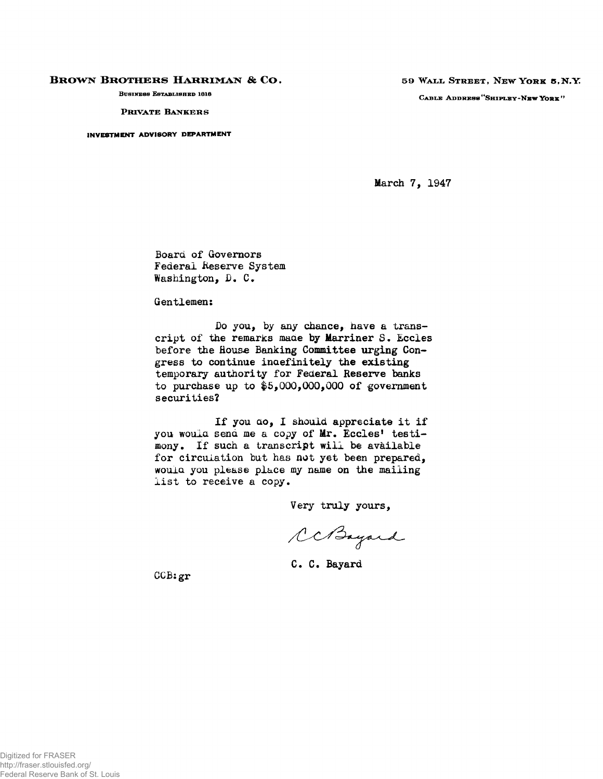## **BROWN BROTHERS HARRIMAN & CO.**

**BUSINESS ESTABLISHED 1818** 

**PRIVATE BANKERS** 

**INVESTMENT ADVISORY DEPARTMENT** 

**5 9 WAL L STREET , NE W YOR K 5 <sup>F</sup> N . Y CABL E ADDRES S "SHIPLEY-N E W YOR K ' '** 

March 7, 1947

Board of Governors Federal Reserve System Washington, D. C.

Gentlemen:

Do you, by any chance, have a transcript of the remarks maae by Marriner S. Eccies before the House Banking Committee urging Congress to continue indefinitely the existing temporary authority for Federal Reserve banks to purchase up to  $$5,000,000,000$  of government securities?

If you **CLO**, I should appreciate it if you would send me a copy of Mr. Eccles' testimony. If such a transcript will be available for circulation but has not yet been prepared, would you please place my name on the mailing list to receive a copy.

Very truly yours,

CCBayard

C. C. Bayard

**CCBigr**